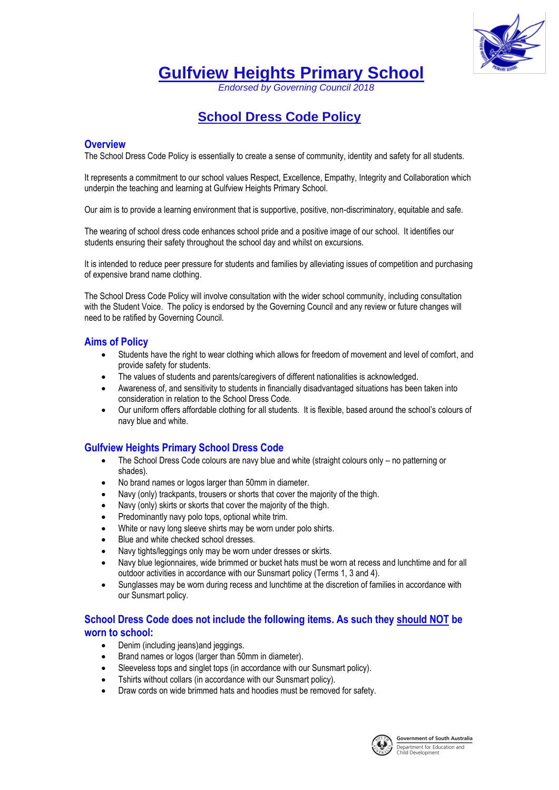

**Gulfview Heights Primary School**

*Endorsed by Governing Council 2018*

# **School Dress Code Policy**

#### **Overview**

The School Dress Code Policy is essentially to create a sense of community, identity and safety for all students.

It represents a commitment to our school values Respect, Excellence, Empathy, Integrity and Collaboration which underpin the teaching and learning at Gulfview Heights Primary School.

Our aim is to provide a learning environment that is supportive, positive, non-discriminatory, equitable and safe.

The wearing of school dress code enhances school pride and a positive image of our school. It identifies our students ensuring their safety throughout the school day and whilst on excursions.

It is intended to reduce peer pressure for students and families by alleviating issues of competition and purchasing of expensive brand name clothing.

The School Dress Code Policy will involve consultation with the wider school community, including consultation with the Student Voice. The policy is endorsed by the Governing Council and any review or future changes will need to be ratified by Governing Council.

#### **Aims of Policy**

- Students have the right to wear clothing which allows for freedom of movement and level of comfort, and provide safety for students.
- The values of students and parents/caregivers of different nationalities is acknowledged.
- Awareness of, and sensitivity to students in financially disadvantaged situations has been taken into consideration in relation to the School Dress Code.
- Our uniform offers affordable clothing for all students. It is flexible, based around the school's colours of navy blue and white.

#### **Gulfview Heights Primary School Dress Code**

- The School Dress Code colours are navy blue and white (straight colours only no patterning or shades).
- No brand names or logos larger than 50mm in diameter.
- Navy (only) trackpants, trousers or shorts that cover the majority of the thigh.
- Navy (only) skirts or skorts that cover the majority of the thigh.
- Predominantly navy polo tops, optional white trim.
- White or navy long sleeve shirts may be worn under polo shirts.
- Blue and white checked school dresses.
- Navy tights/leggings only may be worn under dresses or skirts.
- Navy blue legionnaires, wide brimmed or bucket hats must be worn at recess and lunchtime and for all outdoor activities in accordance with our Sunsmart policy (Terms 1, 3 and 4).
- Sunglasses may be worn during recess and lunchtime at the discretion of families in accordance with our Sunsmart policy.

## **School Dress Code does not include the following items. As such they should NOT be worn to school:**

- Denim (including jeans) and jeggings.
- Brand names or logos (larger than 50mm in diameter).
- Sleeveless tops and singlet tops (in accordance with our Sunsmart policy).
- Tshirts without collars (in accordance with our Sunsmart policy).
- Draw cords on wide brimmed hats and hoodies must be removed for safety.

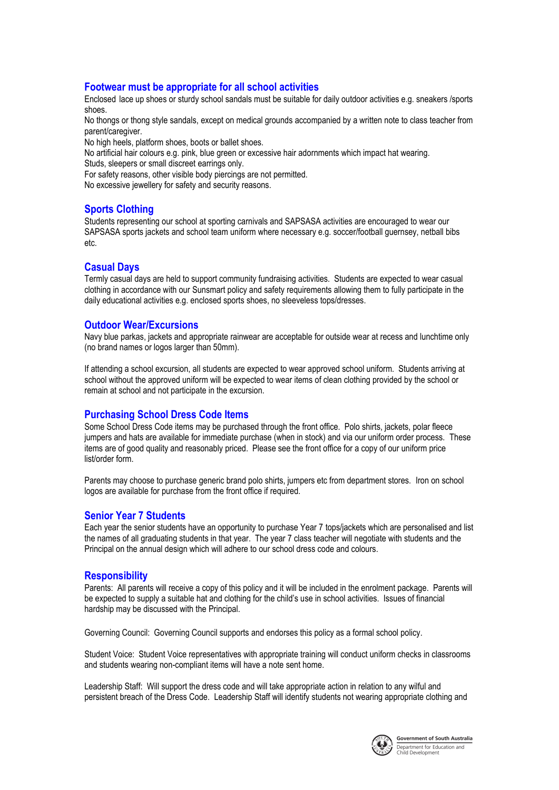#### **Footwear must be appropriate for all school activities**

Enclosed lace up shoes or sturdy school sandals must be suitable for daily outdoor activities e.g. sneakers /sports shoes.

No thongs or thong style sandals, except on medical grounds accompanied by a written note to class teacher from parent/caregiver.

No high heels, platform shoes, boots or ballet shoes.

No artificial hair colours e.g. pink, blue green or excessive hair adornments which impact hat wearing. Studs, sleepers or small discreet earrings only.

For safety reasons, other visible body piercings are not permitted.

No excessive jewellery for safety and security reasons.

#### **Sports Clothing**

Students representing our school at sporting carnivals and SAPSASA activities are encouraged to wear our SAPSASA sports jackets and school team uniform where necessary e.g. soccer/football guernsey, netball bibs etc.

#### **Casual Days**

Termly casual days are held to support community fundraising activities. Students are expected to wear casual clothing in accordance with our Sunsmart policy and safety requirements allowing them to fully participate in the daily educational activities e.g. enclosed sports shoes, no sleeveless tops/dresses.

#### **Outdoor Wear/Excursions**

Navy blue parkas, jackets and appropriate rainwear are acceptable for outside wear at recess and lunchtime only (no brand names or logos larger than 50mm).

If attending a school excursion, all students are expected to wear approved school uniform. Students arriving at school without the approved uniform will be expected to wear items of clean clothing provided by the school or remain at school and not participate in the excursion.

#### **Purchasing School Dress Code Items**

Some School Dress Code items may be purchased through the front office. Polo shirts, jackets, polar fleece jumpers and hats are available for immediate purchase (when in stock) and via our uniform order process. These items are of good quality and reasonably priced. Please see the front office for a copy of our uniform price list/order form.

Parents may choose to purchase generic brand polo shirts, jumpers etc from department stores. Iron on school logos are available for purchase from the front office if required.

#### **Senior Year 7 Students**

Each year the senior students have an opportunity to purchase Year 7 tops/jackets which are personalised and list the names of all graduating students in that year. The year 7 class teacher will negotiate with students and the Principal on the annual design which will adhere to our school dress code and colours.

#### **Responsibility**

Parents: All parents will receive a copy of this policy and it will be included in the enrolment package. Parents will be expected to supply a suitable hat and clothing for the child's use in school activities. Issues of financial hardship may be discussed with the Principal.

Governing Council: Governing Council supports and endorses this policy as a formal school policy.

Student Voice: Student Voice representatives with appropriate training will conduct uniform checks in classrooms and students wearing non-compliant items will have a note sent home.

Leadership Staff: Will support the dress code and will take appropriate action in relation to any wilful and persistent breach of the Dress Code. Leadership Staff will identify students not wearing appropriate clothing and